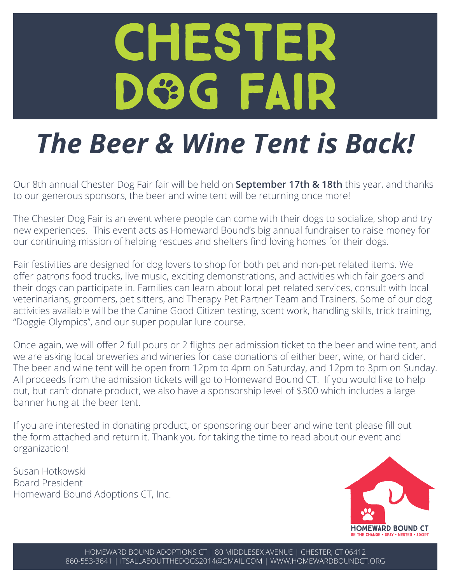# CHESTER DGG FAIR

# *The Beer & Wine Tent is Back!*

Our 8th annual Chester Dog Fair fair will be held on **September 17th & 18th** this year, and thanks to our generous sponsors, the beer and wine tent will be returning once more!

The Chester Dog Fair is an event where people can come with their dogs to socialize, shop and try new experiences. This event acts as Homeward Bound's big annual fundraiser to raise money for our continuing mission of helping rescues and shelters find loving homes for their dogs.

Fair festivities are designed for dog lovers to shop for both pet and non-pet related items. We offer patrons food trucks, live music, exciting demonstrations, and activities which fair goers and their dogs can participate in. Families can learn about local pet related services, consult with local veterinarians, groomers, pet sitters, and Therapy Pet Partner Team and Trainers. Some of our dog activities available will be the Canine Good Citizen testing, scent work, handling skills, trick training, "Doggie Olympics", and our super popular lure course.

Once again, we will offer 2 full pours or 2 flights per admission ticket to the beer and wine tent, and we are asking local breweries and wineries for case donations of either beer, wine, or hard cider. The beer and wine tent will be open from 12pm to 4pm on Saturday, and 12pm to 3pm on Sunday. All proceeds from the admission tickets will go to Homeward Bound CT. If you would like to help out, but can't donate product, we also have a sponsorship level of \$300 which includes a large banner hung at the beer tent.

If you are interested in donating product, or sponsoring our beer and wine tent please fill out the form attached and return it. Thank you for taking the time to read about our event and organization!

Susan Hotkowski Board President Homeward Bound Adoptions CT, Inc.